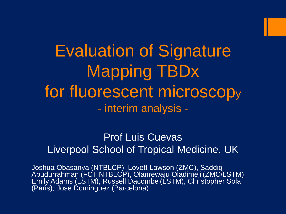Evaluation of Signature Mapping TBDx for fluorescent microscop<sup>y</sup> - interim analysis -

## Prof Luis Cuevas Liverpool School of Tropical Medicine, UK

Joshua Obasanya (NTBLCP), Lovett Lawson (ZMC), Saddiq Abudurrahman (FCT NTBLCP), Olanrewaju Oladimeji (ZMC/LSTM), Emily Adams (LSTM), Russell Dacombe (LSTM), Christopher Sola, (Paris), Jose Dominguez (Barcelona)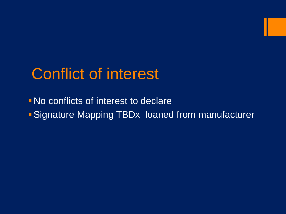## Conflict of interest

No conflicts of interest to declare Signature Mapping TBDx loaned from manufacturer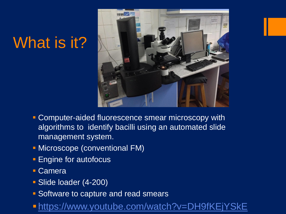# What is it?



- **Computer-aided fluorescence smear microscopy with** algorithms to identify bacilli using an automated slide management system.
- **Microscope (conventional FM)**
- **Engine for autofocus**
- Camera
- **Slide loader (4-200)**
- Software to capture and read smears
- <https://www.youtube.com/watch?v=DH9fKEjYSkE>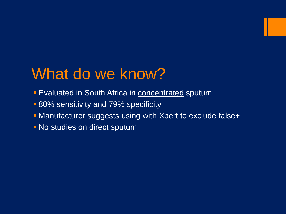# What do we know?

- **Evaluated in South Africa in concentrated sputum**
- **80% sensitivity and 79% specificity**
- **Manufacturer suggests using with Xpert to exclude false+**
- **No studies on direct sputum**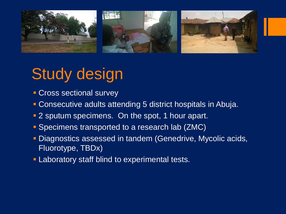

## Study design

- **Cross sectional survey**
- Consecutive adults attending 5 district hospitals in Abuja.
- 2 sputum specimens. On the spot, 1 hour apart.
- **Specimens transported to a research lab (ZMC)**
- **Diagnostics assessed in tandem (Genedrive, Mycolic acids,** Fluorotype, TBDx)
- **Laboratory staff blind to experimental tests.**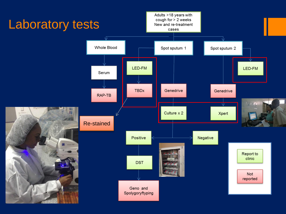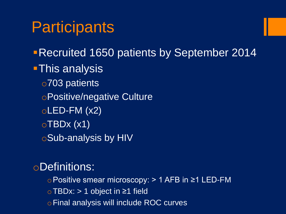## **Participants**

Recruited 1650 patients by September 2014 **This analysis** o703 patients oPositive/negative Culture  $oLED$ -FM  $(x2)$  $\circ$ TBDx (x1) oSub-analysis by HIV

## oDefinitions:

oPositive smear microscopy: > 1 AFB in ≥1 LED-FM oTBDx: > 1 object in ≥1 field oFinal analysis will include ROC curves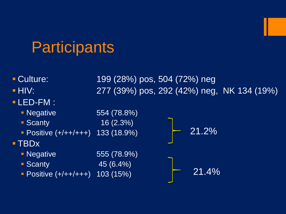## **Participants**

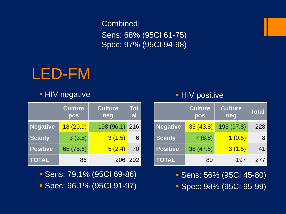Sens: 68% (95CI 61-75) Spec: 97% (95CI 94-98)

## LED-FM

#### **HIV negative**

| Combined:<br><b>Sens: 68%</b><br><b>Spec: 97%</b><br>LED-FM<br><b>HIV negative</b> |                       |                       |                  |  |  |
|------------------------------------------------------------------------------------|-----------------------|-----------------------|------------------|--|--|
|                                                                                    | <b>Culture</b><br>pos | <b>Culture</b><br>neg | <b>Tot</b><br>al |  |  |
| <b>Negative</b>                                                                    | 18(20.9)              | 198 (96.1)            | 216              |  |  |
| <b>Scanty</b>                                                                      | 3(3.5)                | 3(1.5)                | 6                |  |  |
| <b>Positive</b>                                                                    | 65 (75.6)             | 5(2.4)                | 70               |  |  |
| <b>TOTAL</b>                                                                       | 86                    | 206                   | 292              |  |  |

- Sens: 79.1% (95CI 69-86)
- Spec: 96.1% (95CI 91-97)

#### **HIV positive**

|                 | <b>Culture</b><br>pos | <b>Culture</b><br>neg | <b>Total</b> |
|-----------------|-----------------------|-----------------------|--------------|
| <b>Negative</b> | 35(43.8)              | 193 (97.8)            | 228          |
| <b>Scanty</b>   | 7(8.8)                | 1(0.5)                | 8            |
| <b>Positive</b> | 38 (47.5)             | 3(1.5)                | 41           |
| <b>TOTAL</b>    | 80                    | 197                   | 277          |

Sens: 56% (95CI 45-80)

**Spec: 98% (95CI 95-99)**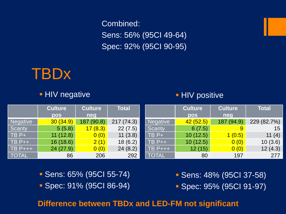Combined: Sens: 56% (95CI 49-64) Spec: 92% (95CI 90-95)



#### **HIV negative**

#### **HIV positive**

|                 | <b>Culture</b> | <b>Culture</b> | <b>Total</b> |                 | <b>Culture</b> | <b>Culture</b> | <b>Total</b> |
|-----------------|----------------|----------------|--------------|-----------------|----------------|----------------|--------------|
|                 | <b>pos</b>     | neg            |              |                 | pos            | neg            |              |
| <b>Negative</b> | 30(34.9)       | (90.8)<br>187  | 217 (74.3)   | <b>Negative</b> | 42(52.5)       | 187 (94.9)     | 229 (82.7%)  |
| Scanty          | 5(5.8)         | 17(8.3)        | 22(7.5)      | <b>Scanty</b>   | 6(7.5)         | 9              | 15           |
| $TBP+$          | 11(12.8)       | 0(0)           | 11(3.8)      | $TBP+$          | 10(12.5)       | 1(0.5)         | 11 $(4)$     |
| $TB$ $P++$      | 16(18.6)       | 2(1)           | 18(6.2)      | $TB$ $P++$      | 10(12.5)       | 0(0)           | 10(3.6)      |
| <b>TB P+++</b>  | 24(27.9)       | 0(0)           | 24(8.2)      | $TB$ $P+++$     | 12(15)         | 0(0)           | 12(4.3)      |
| <b>TOTAL</b>    | 86             | 206            | 292          | <b>TOTAL</b>    | 80             | 197            | 277          |

- Sens: 65% (95CI 55-74)
- Spec: 91% (95CI 86-94)

 Sens: 48% (95CI 37-58) Spec: 95% (95CI 91-97)

#### **Difference between TBDx and LED-FM not significant**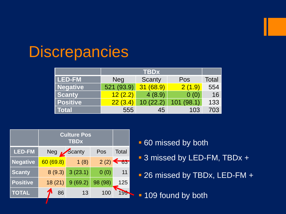## **Discrepancies**

|                 |            | <b>TBDx</b>  |           |       |  |  |  |
|-----------------|------------|--------------|-----------|-------|--|--|--|
| <b>LED-FM</b>   | <b>Neg</b> | Scanty       | Pos       | Total |  |  |  |
| <b>Negative</b> | 521 (93.9) | (68.9)<br>31 | 2(1.9)    | 554   |  |  |  |
| <b>Scanty</b>   | 12(2.2)    | 4(8.9)       | 0(0)      | 16    |  |  |  |
| <b>Positive</b> | 22(3.4)    | 10(22.2)     | 101(98.1) | 133   |  |  |  |
| <b>Total</b>    | 555        | 45           | 103       | 703   |  |  |  |



- 60 missed by both
- 3 missed by LED-FM, TBDx +
- 26 missed by TBDx, LED-FM +
- **109 found by both**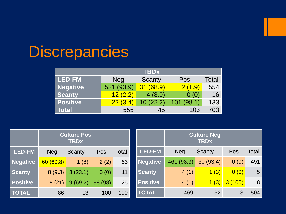## **Discrepancies**

|                 |            | <b>TBDx</b>  |           |       |  |  |  |
|-----------------|------------|--------------|-----------|-------|--|--|--|
| l LED-FM        | <b>Neg</b> | Scanty       | Pos       | Total |  |  |  |
| Negative        | 521 (93.9) | (68.9)<br>31 | 2(1.9)    | 554   |  |  |  |
| <b>Scanty</b>   | 12(2.2)    | 4(8.9)       | 0(0)      | 16    |  |  |  |
| <b>Positive</b> | 22(3.4)    | 10(22.2)     | 101(98.1) | 133   |  |  |  |
| <b>Total</b>    | 555        | 45           | 103       | 703   |  |  |  |

| <b>Culture Pos</b><br><b>TBDx</b> |            |         |         |       | <b>Culture Neg</b><br><b>TBDx</b> |            |          |        |              |
|-----------------------------------|------------|---------|---------|-------|-----------------------------------|------------|----------|--------|--------------|
| <b>LED-FM</b>                     | <b>Neg</b> | Scanty  | Pos     | Total | <b>LED-FM</b>                     | <b>Neg</b> | Scanty   | Pos    | <b>Total</b> |
| <b>Negative</b>                   | 60(69.8)   | 1(8)    | 2(2)    | 63    | <b>Negative</b>                   | 461 (98.3) | 30(93.4) | 0(0)   | 491          |
| Scanty                            | 8(9.3)     | 3(23.1) | 0(0)    | 11    | <b>Scanty</b>                     | 4(1)       | 1(3)     | 0(0)   | 5            |
| <b>Positive</b>                   | 18(21)     | 9(69.2) | 98 (98) | 125   | <b>Positive</b>                   | 4(1)       | 1(3)     | 3(100) | 8            |
| <b>TOTAL</b>                      | 86         | 13      | 100     | 199   | <b>TOTAL</b>                      | 469        | 32       | 3      | 504          |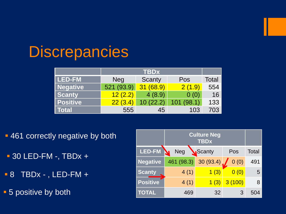## **Discrepancies**

|                 |            | <b>TBDx</b>  |           |       |  |  |  |
|-----------------|------------|--------------|-----------|-------|--|--|--|
| l LED-FM        | <b>Neg</b> | Scanty       | Pos       | Total |  |  |  |
| Negative        | 521 (93.9) | (68.9)<br>31 | 2(1.9)    | 554   |  |  |  |
| <b>Scanty</b>   | 12(2.2)    | 4(8.9)       | 0(0)      | 16    |  |  |  |
| <b>Positive</b> | 22(3.4)    | 10(22.2)     | 101(98.1) | 133   |  |  |  |
| <b>Total</b>    | 555        | 45           | 103       | 703   |  |  |  |

- **461 correctly negative by both**
- $-$  30 LED-FM -, TBDx +
- $-8$  TBDx -, LED-FM +
- **5 positive by both**

|                 | <b>Culture Neg</b> |          |        |       |
|-----------------|--------------------|----------|--------|-------|
| LED-FM          | <b>Neg</b>         | Scanty   | Pos    | Total |
| <b>Negative</b> | 461 (98.3)         | 30(93.4) | 0(0)   | 491   |
| <b>Scanty</b>   | 4(1)               | 1(3)     | 0(0)   | 5     |
| <b>Positive</b> | 4(1)               | 1(3)     | 3(100) | 8     |
| <b>TOTAL</b>    | 469                | 32       | З      | 504   |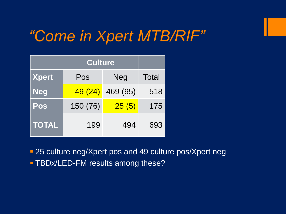## *"Come in Xpert MTB/RIF"*

|              | <b>Culture</b> |          |       |
|--------------|----------------|----------|-------|
| <b>Xpert</b> | Pos            | Neg      | Total |
| <b>Neg</b>   | 49 (24)        | 469 (95) | 518   |
| Pos          | 150 (76)       | 25(5)    | 175   |
| <b>TOTAL</b> | 199            | 494      | 693   |

**25 culture neg/Xpert pos and 49 culture pos/Xpert neg** 

**- TBDx/LED-FM results among these?**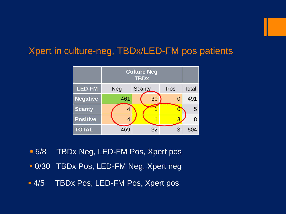### Xpert in culture-neg, TBDx/LED-FM pos patients



- **5/8 TBDx Neg, LED-FM Pos, Xpert pos**
- **0/30 TBDx Pos, LED-FM Neg, Xpert neg**
- **4/5 TBDx Pos, LED-FM Pos, Xpert pos**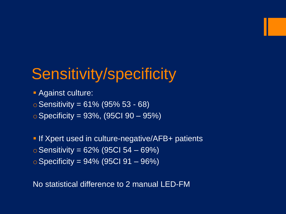## Sensitivity/specificity

**Against culture:** 

 $\circ$  Sensitivity = 61% (95% 53 - 68)

 $\circ$  Specificity = 93%, (95CI 90 – 95%)

**If Xpert used in culture-negative/AFB+ patients**  $\circ$  Sensitivity = 62% (95CI 54 – 69%)  $\circ$  Specificity = 94% (95CI 91 – 96%)

No statistical difference to 2 manual LED-FM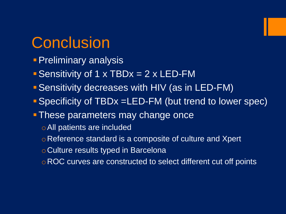## **Conclusion**

- **Preliminary analysis**
- Sensitivity of 1 x TBDx = 2 x LED-FM
- Sensitivity decreases with HIV (as in LED-FM)
- Specificity of TBDx =LED-FM (but trend to lower spec)
- **These parameters may change once** 
	- oAll patients are included
	- o Reference standard is a composite of culture and Xpert
	- oCulture results typed in Barcelona
	- o ROC curves are constructed to select different cut off points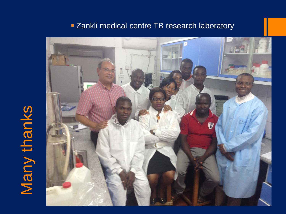# Many thanks



#### **EXankli medical centre TB research laboratory**